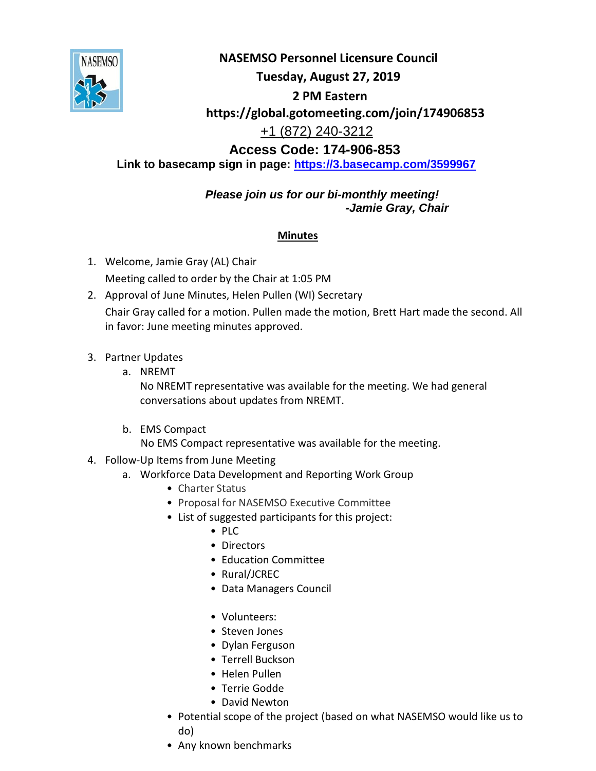

**NASEMSO Personnel Licensure Council Tuesday, August 27, 2019 2 PM Eastern https://global.gotomeeting.com/join/174906853**  +1 (872) 240-3212 **Access Code: 174-906-853**

**Link to basecamp sign in page:<https://3.basecamp.com/3599967>**

*Please join us for our bi-monthly meeting! -Jamie Gray, Chair*

## **Minutes**

- 1. Welcome, Jamie Gray (AL) Chair Meeting called to order by the Chair at 1:05 PM
- 2. Approval of June Minutes, Helen Pullen (WI) Secretary Chair Gray called for a motion. Pullen made the motion, Brett Hart made the second. All in favor: June meeting minutes approved.
- 3. Partner Updates
	- a. NREMT

No NREMT representative was available for the meeting. We had general conversations about updates from NREMT.

b. EMS Compact

No EMS Compact representative was available for the meeting.

- 4. Follow-Up Items from June Meeting
	- a. Workforce Data Development and Reporting Work Group
		- Charter Status
		- Proposal for NASEMSO Executive Committee
		- List of suggested participants for this project:
			- PLC
			- Directors
			- Education Committee
			- Rural/JCREC
			- Data Managers Council
			- Volunteers:
			- Steven Jones
			- Dylan Ferguson
			- Terrell Buckson
			- Helen Pullen
			- Terrie Godde
			- David Newton
		- Potential scope of the project (based on what NASEMSO would like us to do)
		- Any known benchmarks